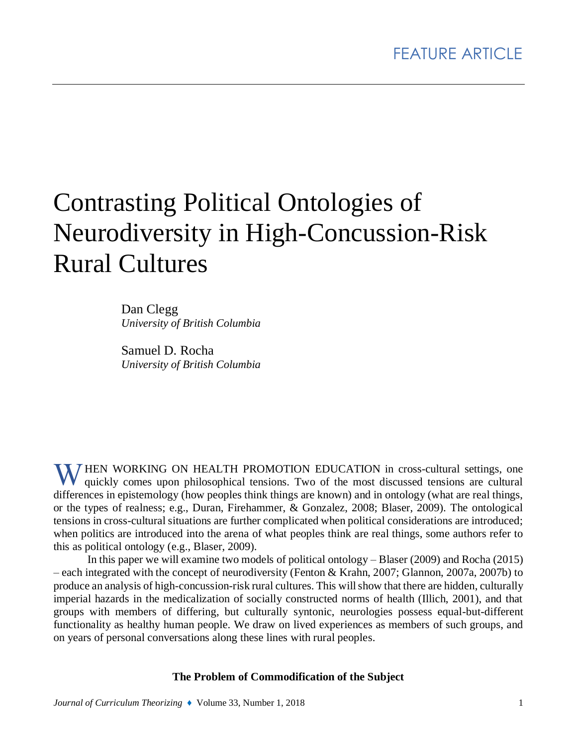# Contrasting Political Ontologies of Neurodiversity in High-Concussion-Risk Rural Cultures

Dan Clegg *University of British Columbia*

Samuel D. Rocha *University of British Columbia*

WHEN WORKING ON HEALTH PROMOTION EDUCATION in cross-cultural settings, one quickly comes upon philosophical tensions. Two of the most discussed tensions are cultural quickly comes upon philosophical tensions. Two of the most discussed tensions are cultural differences in epistemology (how peoples think things are known) and in ontology (what are real things, or the types of realness; e.g., Duran, Firehammer, & Gonzalez, 2008; Blaser, 2009). The ontological tensions in cross-cultural situations are further complicated when political considerations are introduced; when politics are introduced into the arena of what peoples think are real things, some authors refer to this as political ontology (e.g., Blaser, 2009).

In this paper we will examine two models of political ontology – Blaser (2009) and Rocha (2015) – each integrated with the concept of neurodiversity (Fenton & Krahn, 2007; Glannon, 2007a, 2007b) to produce an analysis of high-concussion-risk rural cultures. This will show that there are hidden, culturally imperial hazards in the medicalization of socially constructed norms of health (Illich, 2001), and that groups with members of differing, but culturally syntonic, neurologies possess equal-but-different functionality as healthy human people. We draw on lived experiences as members of such groups, and on years of personal conversations along these lines with rural peoples.

**The Problem of Commodification of the Subject**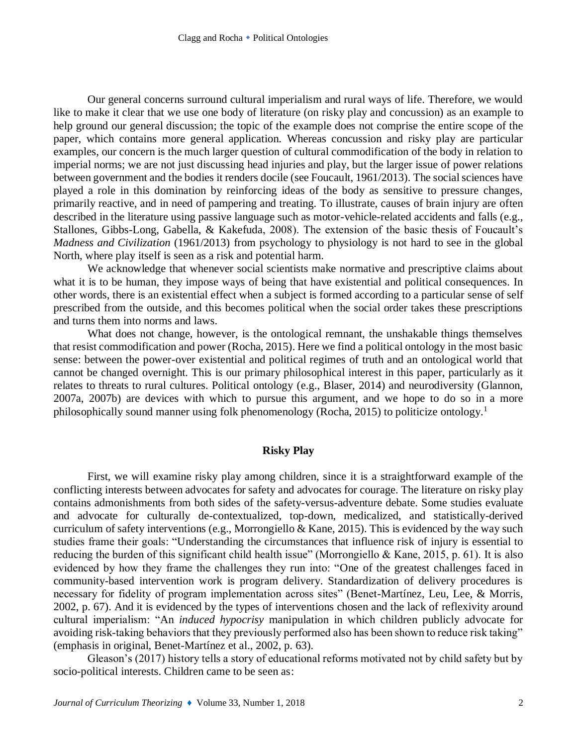Our general concerns surround cultural imperialism and rural ways of life. Therefore, we would like to make it clear that we use one body of literature (on risky play and concussion) as an example to help ground our general discussion; the topic of the example does not comprise the entire scope of the paper, which contains more general application. Whereas concussion and risky play are particular examples, our concern is the much larger question of cultural commodification of the body in relation to imperial norms; we are not just discussing head injuries and play, but the larger issue of power relations between government and the bodies it renders docile (see Foucault, 1961/2013). The social sciences have played a role in this domination by reinforcing ideas of the body as sensitive to pressure changes, primarily reactive, and in need of pampering and treating. To illustrate, causes of brain injury are often described in the literature using passive language such as motor-vehicle-related accidents and falls (e.g., Stallones, Gibbs-Long, Gabella, & Kakefuda, 2008). The extension of the basic thesis of Foucault's *Madness and Civilization* (1961/2013) from psychology to physiology is not hard to see in the global North, where play itself is seen as a risk and potential harm.

We acknowledge that whenever social scientists make normative and prescriptive claims about what it is to be human, they impose ways of being that have existential and political consequences. In other words, there is an existential effect when a subject is formed according to a particular sense of self prescribed from the outside, and this becomes political when the social order takes these prescriptions and turns them into norms and laws.

What does not change, however, is the ontological remnant, the unshakable things themselves that resist commodification and power (Rocha, 2015). Here we find a political ontology in the most basic sense: between the power-over existential and political regimes of truth and an ontological world that cannot be changed overnight. This is our primary philosophical interest in this paper, particularly as it relates to threats to rural cultures. Political ontology (e.g., Blaser, 2014) and neurodiversity (Glannon, 2007a, 2007b) are devices with which to pursue this argument, and we hope to do so in a more philosophically sound manner using folk phenomenology (Rocha, 2015) to politicize ontology.<sup>1</sup>

## **Risky Play**

First, we will examine risky play among children, since it is a straightforward example of the conflicting interests between advocates for safety and advocates for courage. The literature on risky play contains admonishments from both sides of the safety-versus-adventure debate. Some studies evaluate and advocate for culturally de-contextualized, top-down, medicalized, and statistically-derived curriculum of safety interventions (e.g., Morrongiello & Kane, 2015). This is evidenced by the way such studies frame their goals: "Understanding the circumstances that influence risk of injury is essential to reducing the burden of this significant child health issue" (Morrongiello & Kane, 2015, p. 61). It is also evidenced by how they frame the challenges they run into: "One of the greatest challenges faced in community-based intervention work is program delivery. Standardization of delivery procedures is necessary for fidelity of program implementation across sites" (Benet-Martínez, Leu, Lee, & Morris, 2002, p. 67). And it is evidenced by the types of interventions chosen and the lack of reflexivity around cultural imperialism: "An *induced hypocrisy* manipulation in which children publicly advocate for avoiding risk-taking behaviors that they previously performed also has been shown to reduce risk taking" (emphasis in original, Benet-Martínez et al., 2002, p. 63).

Gleason's (2017) history tells a story of educational reforms motivated not by child safety but by socio-political interests. Children came to be seen as: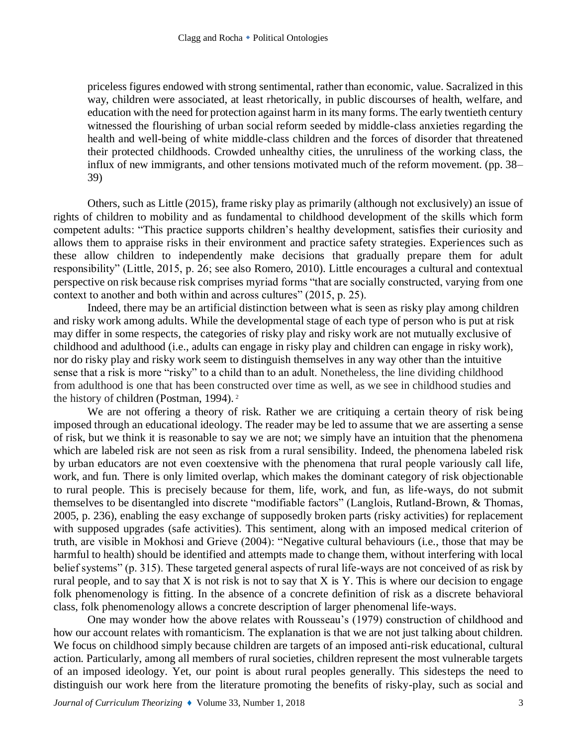priceless figures endowed with strong sentimental, rather than economic, value. Sacralized in this way, children were associated, at least rhetorically, in public discourses of health, welfare, and education with the need for protection against harm in its many forms. The early twentieth century witnessed the flourishing of urban social reform seeded by middle-class anxieties regarding the health and well-being of white middle-class children and the forces of disorder that threatened their protected childhoods. Crowded unhealthy cities, the unruliness of the working class, the influx of new immigrants, and other tensions motivated much of the reform movement. (pp. 38– 39)

Others, such as Little (2015), frame risky play as primarily (although not exclusively) an issue of rights of children to mobility and as fundamental to childhood development of the skills which form competent adults: "This practice supports children's healthy development, satisfies their curiosity and allows them to appraise risks in their environment and practice safety strategies. Experiences such as these allow children to independently make decisions that gradually prepare them for adult responsibility" (Little, 2015, p. 26; see also Romero, 2010). Little encourages a cultural and contextual perspective on risk because risk comprises myriad forms "that are socially constructed, varying from one context to another and both within and across cultures" (2015, p. 25).

Indeed, there may be an artificial distinction between what is seen as risky play among children and risky work among adults. While the developmental stage of each type of person who is put at risk may differ in some respects, the categories of risky play and risky work are not mutually exclusive of childhood and adulthood (i.e., adults can engage in risky play and children can engage in risky work), nor do risky play and risky work seem to distinguish themselves in any way other than the intuitive sense that a risk is more "risky" to a child than to an adult. Nonetheless, the line dividing childhood from adulthood is one that has been constructed over time as well, as we see in childhood studies and the history of children (Postman, 1994). <sup>2</sup>

We are not offering a theory of risk. Rather we are critiquing a certain theory of risk being imposed through an educational ideology. The reader may be led to assume that we are asserting a sense of risk, but we think it is reasonable to say we are not; we simply have an intuition that the phenomena which are labeled risk are not seen as risk from a rural sensibility. Indeed, the phenomena labeled risk by urban educators are not even coextensive with the phenomena that rural people variously call life, work, and fun. There is only limited overlap, which makes the dominant category of risk objectionable to rural people. This is precisely because for them, life, work, and fun, as life-ways, do not submit themselves to be disentangled into discrete "modifiable factors" (Langlois, Rutland-Brown, & Thomas, 2005, p. 236), enabling the easy exchange of supposedly broken parts (risky activities) for replacement with supposed upgrades (safe activities). This sentiment, along with an imposed medical criterion of truth, are visible in Mokhosi and Grieve (2004): "Negative cultural behaviours (i.e., those that may be harmful to health) should be identified and attempts made to change them, without interfering with local belief systems" (p. 315). These targeted general aspects of rural life-ways are not conceived of as risk by rural people, and to say that X is not risk is not to say that X is Y. This is where our decision to engage folk phenomenology is fitting. In the absence of a concrete definition of risk as a discrete behavioral class, folk phenomenology allows a concrete description of larger phenomenal life-ways.

One may wonder how the above relates with Rousseau's (1979) construction of childhood and how our account relates with romanticism. The explanation is that we are not just talking about children. We focus on childhood simply because children are targets of an imposed anti-risk educational, cultural action. Particularly, among all members of rural societies, children represent the most vulnerable targets of an imposed ideology. Yet, our point is about rural peoples generally. This sidesteps the need to distinguish our work here from the literature promoting the benefits of risky-play, such as social and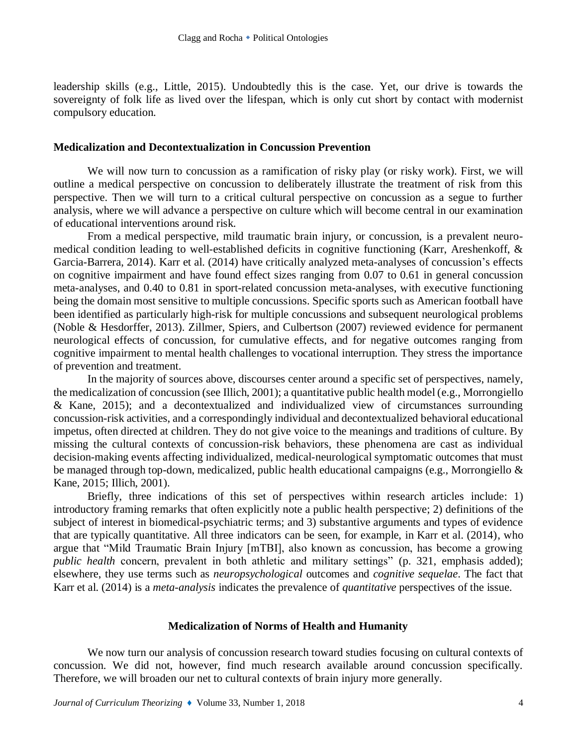leadership skills (e.g., Little, 2015). Undoubtedly this is the case. Yet, our drive is towards the sovereignty of folk life as lived over the lifespan, which is only cut short by contact with modernist compulsory education.

#### **Medicalization and Decontextualization in Concussion Prevention**

We will now turn to concussion as a ramification of risky play (or risky work). First, we will outline a medical perspective on concussion to deliberately illustrate the treatment of risk from this perspective. Then we will turn to a critical cultural perspective on concussion as a segue to further analysis, where we will advance a perspective on culture which will become central in our examination of educational interventions around risk.

From a medical perspective, mild traumatic brain injury, or concussion, is a prevalent neuromedical condition leading to well-established deficits in cognitive functioning (Karr, Areshenkoff, & Garcia-Barrera, 2014). Karr et al. (2014) have critically analyzed meta-analyses of concussion's effects on cognitive impairment and have found effect sizes ranging from 0.07 to 0.61 in general concussion meta-analyses, and 0.40 to 0.81 in sport-related concussion meta-analyses, with executive functioning being the domain most sensitive to multiple concussions. Specific sports such as American football have been identified as particularly high-risk for multiple concussions and subsequent neurological problems (Noble & Hesdorffer, 2013). Zillmer, Spiers, and Culbertson (2007) reviewed evidence for permanent neurological effects of concussion, for cumulative effects, and for negative outcomes ranging from cognitive impairment to mental health challenges to vocational interruption. They stress the importance of prevention and treatment.

In the majority of sources above, discourses center around a specific set of perspectives, namely, the medicalization of concussion (see Illich, 2001); a quantitative public health model (e.g., Morrongiello & Kane, 2015); and a decontextualized and individualized view of circumstances surrounding concussion-risk activities, and a correspondingly individual and decontextualized behavioral educational impetus, often directed at children. They do not give voice to the meanings and traditions of culture. By missing the cultural contexts of concussion-risk behaviors, these phenomena are cast as individual decision-making events affecting individualized, medical-neurological symptomatic outcomes that must be managed through top-down, medicalized, public health educational campaigns (e.g., Morrongiello & Kane, 2015; Illich, 2001).

Briefly, three indications of this set of perspectives within research articles include: 1) introductory framing remarks that often explicitly note a public health perspective; 2) definitions of the subject of interest in biomedical-psychiatric terms; and 3) substantive arguments and types of evidence that are typically quantitative. All three indicators can be seen, for example, in Karr et al. (2014), who argue that "Mild Traumatic Brain Injury [mTBI], also known as concussion, has become a growing *public health* concern, prevalent in both athletic and military settings" (p. 321, emphasis added); elsewhere, they use terms such as *neuropsychological* outcomes and *cognitive sequelae*. The fact that Karr et al. (2014) is a *meta-analysis* indicates the prevalence of *quantitative* perspectives of the issue.

#### **Medicalization of Norms of Health and Humanity**

We now turn our analysis of concussion research toward studies focusing on cultural contexts of concussion. We did not, however, find much research available around concussion specifically. Therefore, we will broaden our net to cultural contexts of brain injury more generally.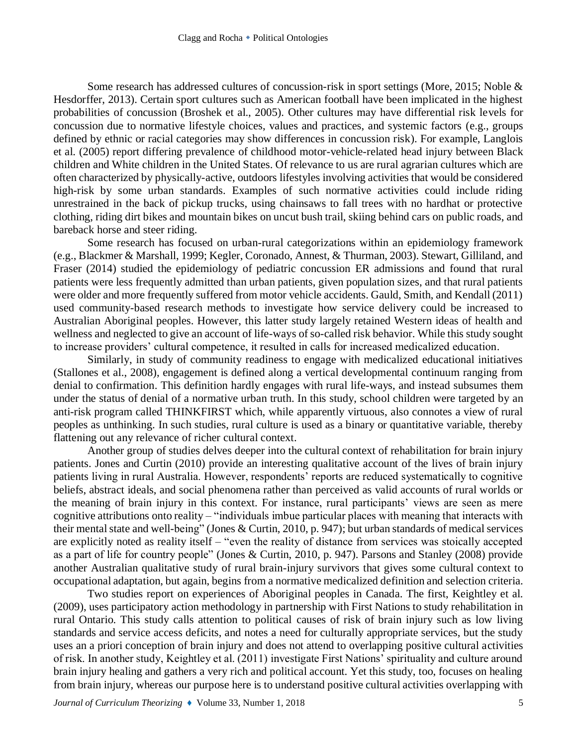Some research has addressed cultures of concussion-risk in sport settings (More, 2015; Noble & Hesdorffer, 2013). Certain sport cultures such as American football have been implicated in the highest probabilities of concussion (Broshek et al., 2005). Other cultures may have differential risk levels for concussion due to normative lifestyle choices, values and practices, and systemic factors (e.g., groups defined by ethnic or racial categories may show differences in concussion risk). For example, Langlois et al. (2005) report differing prevalence of childhood motor-vehicle-related head injury between Black children and White children in the United States. Of relevance to us are rural agrarian cultures which are often characterized by physically-active, outdoors lifestyles involving activities that would be considered high-risk by some urban standards. Examples of such normative activities could include riding unrestrained in the back of pickup trucks, using chainsaws to fall trees with no hardhat or protective clothing, riding dirt bikes and mountain bikes on uncut bush trail, skiing behind cars on public roads, and bareback horse and steer riding.

Some research has focused on urban-rural categorizations within an epidemiology framework (e.g., Blackmer & Marshall, 1999; Kegler, Coronado, Annest, & Thurman, 2003). Stewart, Gilliland, and Fraser (2014) studied the epidemiology of pediatric concussion ER admissions and found that rural patients were less frequently admitted than urban patients, given population sizes, and that rural patients were older and more frequently suffered from motor vehicle accidents. Gauld, Smith, and Kendall (2011) used community-based research methods to investigate how service delivery could be increased to Australian Aboriginal peoples. However, this latter study largely retained Western ideas of health and wellness and neglected to give an account of life-ways of so-called risk behavior. While this study sought to increase providers' cultural competence, it resulted in calls for increased medicalized education.

Similarly, in study of community readiness to engage with medicalized educational initiatives (Stallones et al., 2008), engagement is defined along a vertical developmental continuum ranging from denial to confirmation. This definition hardly engages with rural life-ways, and instead subsumes them under the status of denial of a normative urban truth. In this study, school children were targeted by an anti-risk program called THINKFIRST which, while apparently virtuous, also connotes a view of rural peoples as unthinking. In such studies, rural culture is used as a binary or quantitative variable, thereby flattening out any relevance of richer cultural context.

Another group of studies delves deeper into the cultural context of rehabilitation for brain injury patients. Jones and Curtin (2010) provide an interesting qualitative account of the lives of brain injury patients living in rural Australia. However, respondents' reports are reduced systematically to cognitive beliefs, abstract ideals, and social phenomena rather than perceived as valid accounts of rural worlds or the meaning of brain injury in this context. For instance, rural participants' views are seen as mere cognitive attributions onto reality – "individuals imbue particular places with meaning that interacts with their mental state and well-being" (Jones & Curtin, 2010, p. 947); but urban standards of medical services are explicitly noted as reality itself – "even the reality of distance from services was stoically accepted as a part of life for country people" (Jones & Curtin, 2010, p. 947). Parsons and Stanley (2008) provide another Australian qualitative study of rural brain-injury survivors that gives some cultural context to occupational adaptation, but again, begins from a normative medicalized definition and selection criteria.

Two studies report on experiences of Aboriginal peoples in Canada. The first, Keightley et al. (2009), uses participatory action methodology in partnership with First Nations to study rehabilitation in rural Ontario. This study calls attention to political causes of risk of brain injury such as low living standards and service access deficits, and notes a need for culturally appropriate services, but the study uses an a priori conception of brain injury and does not attend to overlapping positive cultural activities of risk. In another study, Keightley et al. (2011) investigate First Nations' spirituality and culture around brain injury healing and gathers a very rich and political account. Yet this study, too, focuses on healing from brain injury, whereas our purpose here is to understand positive cultural activities overlapping with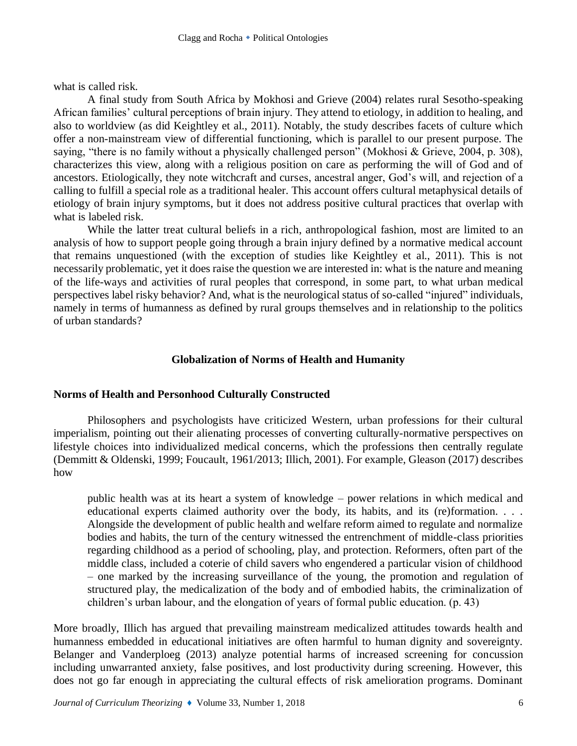what is called risk.

A final study from South Africa by Mokhosi and Grieve (2004) relates rural Sesotho-speaking African families' cultural perceptions of brain injury. They attend to etiology, in addition to healing, and also to worldview (as did Keightley et al., 2011). Notably, the study describes facets of culture which offer a non-mainstream view of differential functioning, which is parallel to our present purpose. The saying, "there is no family without a physically challenged person" (Mokhosi & Grieve, 2004, p. 308), characterizes this view, along with a religious position on care as performing the will of God and of ancestors. Etiologically, they note witchcraft and curses, ancestral anger, God's will, and rejection of a calling to fulfill a special role as a traditional healer. This account offers cultural metaphysical details of etiology of brain injury symptoms, but it does not address positive cultural practices that overlap with what is labeled risk.

While the latter treat cultural beliefs in a rich, anthropological fashion, most are limited to an analysis of how to support people going through a brain injury defined by a normative medical account that remains unquestioned (with the exception of studies like Keightley et al., 2011). This is not necessarily problematic, yet it does raise the question we are interested in: what is the nature and meaning of the life-ways and activities of rural peoples that correspond, in some part, to what urban medical perspectives label risky behavior? And, what is the neurological status of so-called "injured" individuals, namely in terms of humanness as defined by rural groups themselves and in relationship to the politics of urban standards?

# **Globalization of Norms of Health and Humanity**

## **Norms of Health and Personhood Culturally Constructed**

Philosophers and psychologists have criticized Western, urban professions for their cultural imperialism, pointing out their alienating processes of converting culturally-normative perspectives on lifestyle choices into individualized medical concerns, which the professions then centrally regulate (Demmitt & Oldenski, 1999; Foucault, 1961/2013; Illich, 2001). For example, Gleason (2017) describes how

public health was at its heart a system of knowledge – power relations in which medical and educational experts claimed authority over the body, its habits, and its (re)formation. . . . Alongside the development of public health and welfare reform aimed to regulate and normalize bodies and habits, the turn of the century witnessed the entrenchment of middle-class priorities regarding childhood as a period of schooling, play, and protection. Reformers, often part of the middle class, included a coterie of child savers who engendered a particular vision of childhood – one marked by the increasing surveillance of the young, the promotion and regulation of structured play, the medicalization of the body and of embodied habits, the criminalization of children's urban labour, and the elongation of years of formal public education. (p. 43)

More broadly, Illich has argued that prevailing mainstream medicalized attitudes towards health and humanness embedded in educational initiatives are often harmful to human dignity and sovereignty. Belanger and Vanderploeg (2013) analyze potential harms of increased screening for concussion including unwarranted anxiety, false positives, and lost productivity during screening. However, this does not go far enough in appreciating the cultural effects of risk amelioration programs. Dominant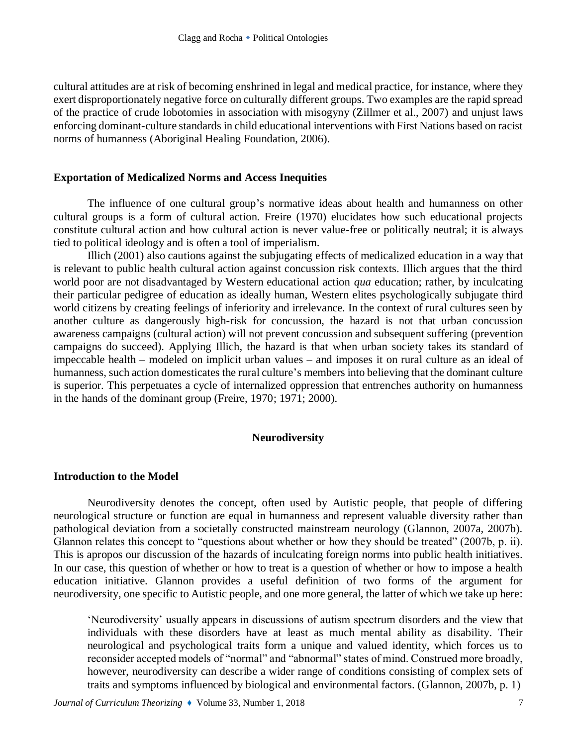cultural attitudes are at risk of becoming enshrined in legal and medical practice, for instance, where they exert disproportionately negative force on culturally different groups. Two examples are the rapid spread of the practice of crude lobotomies in association with misogyny (Zillmer et al., 2007) and unjust laws enforcing dominant-culture standards in child educational interventions with First Nations based on racist norms of humanness (Aboriginal Healing Foundation, 2006).

## **Exportation of Medicalized Norms and Access Inequities**

The influence of one cultural group's normative ideas about health and humanness on other cultural groups is a form of cultural action. Freire (1970) elucidates how such educational projects constitute cultural action and how cultural action is never value-free or politically neutral; it is always tied to political ideology and is often a tool of imperialism.

Illich (2001) also cautions against the subjugating effects of medicalized education in a way that is relevant to public health cultural action against concussion risk contexts. Illich argues that the third world poor are not disadvantaged by Western educational action *qua* education; rather, by inculcating their particular pedigree of education as ideally human, Western elites psychologically subjugate third world citizens by creating feelings of inferiority and irrelevance. In the context of rural cultures seen by another culture as dangerously high-risk for concussion, the hazard is not that urban concussion awareness campaigns (cultural action) will not prevent concussion and subsequent suffering (prevention campaigns do succeed). Applying Illich, the hazard is that when urban society takes its standard of impeccable health – modeled on implicit urban values – and imposes it on rural culture as an ideal of humanness, such action domesticates the rural culture's members into believing that the dominant culture is superior. This perpetuates a cycle of internalized oppression that entrenches authority on humanness in the hands of the dominant group (Freire, 1970; 1971; 2000).

# **Neurodiversity**

# **Introduction to the Model**

Neurodiversity denotes the concept, often used by Autistic people, that people of differing neurological structure or function are equal in humanness and represent valuable diversity rather than pathological deviation from a societally constructed mainstream neurology (Glannon, 2007a, 2007b). Glannon relates this concept to "questions about whether or how they should be treated" (2007b, p. ii). This is apropos our discussion of the hazards of inculcating foreign norms into public health initiatives. In our case, this question of whether or how to treat is a question of whether or how to impose a health education initiative. Glannon provides a useful definition of two forms of the argument for neurodiversity, one specific to Autistic people, and one more general, the latter of which we take up here:

'Neurodiversity' usually appears in discussions of autism spectrum disorders and the view that individuals with these disorders have at least as much mental ability as disability. Their neurological and psychological traits form a unique and valued identity, which forces us to reconsider accepted models of "normal" and "abnormal" states of mind. Construed more broadly, however, neurodiversity can describe a wider range of conditions consisting of complex sets of traits and symptoms influenced by biological and environmental factors. (Glannon, 2007b, p. 1)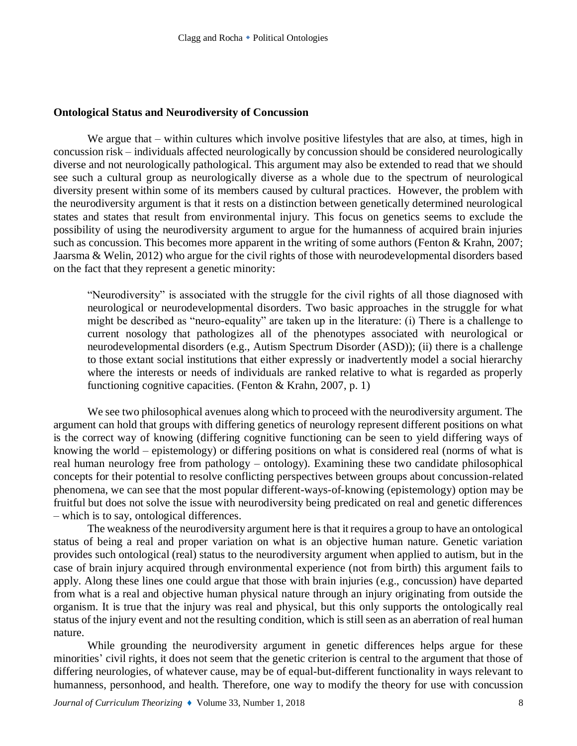#### **Ontological Status and Neurodiversity of Concussion**

We argue that – within cultures which involve positive lifestyles that are also, at times, high in concussion risk – individuals affected neurologically by concussion should be considered neurologically diverse and not neurologically pathological. This argument may also be extended to read that we should see such a cultural group as neurologically diverse as a whole due to the spectrum of neurological diversity present within some of its members caused by cultural practices. However, the problem with the neurodiversity argument is that it rests on a distinction between genetically determined neurological states and states that result from environmental injury. This focus on genetics seems to exclude the possibility of using the neurodiversity argument to argue for the humanness of acquired brain injuries such as concussion. This becomes more apparent in the writing of some authors (Fenton & Krahn, 2007; Jaarsma & Welin, 2012) who argue for the civil rights of those with neurodevelopmental disorders based on the fact that they represent a genetic minority:

"Neurodiversity" is associated with the struggle for the civil rights of all those diagnosed with neurological or neurodevelopmental disorders. Two basic approaches in the struggle for what might be described as "neuro-equality" are taken up in the literature: (i) There is a challenge to current nosology that pathologizes all of the phenotypes associated with neurological or neurodevelopmental disorders (e.g., Autism Spectrum Disorder (ASD)); (ii) there is a challenge to those extant social institutions that either expressly or inadvertently model a social hierarchy where the interests or needs of individuals are ranked relative to what is regarded as properly functioning cognitive capacities. (Fenton & Krahn, 2007, p. 1)

We see two philosophical avenues along which to proceed with the neurodiversity argument. The argument can hold that groups with differing genetics of neurology represent different positions on what is the correct way of knowing (differing cognitive functioning can be seen to yield differing ways of knowing the world – epistemology) or differing positions on what is considered real (norms of what is real human neurology free from pathology – ontology). Examining these two candidate philosophical concepts for their potential to resolve conflicting perspectives between groups about concussion-related phenomena, we can see that the most popular different-ways-of-knowing (epistemology) option may be fruitful but does not solve the issue with neurodiversity being predicated on real and genetic differences – which is to say, ontological differences.

The weakness of the neurodiversity argument here is that it requires a group to have an ontological status of being a real and proper variation on what is an objective human nature. Genetic variation provides such ontological (real) status to the neurodiversity argument when applied to autism, but in the case of brain injury acquired through environmental experience (not from birth) this argument fails to apply. Along these lines one could argue that those with brain injuries (e.g., concussion) have departed from what is a real and objective human physical nature through an injury originating from outside the organism. It is true that the injury was real and physical, but this only supports the ontologically real status of the injury event and not the resulting condition, which is still seen as an aberration of real human nature.

While grounding the neurodiversity argument in genetic differences helps argue for these minorities' civil rights, it does not seem that the genetic criterion is central to the argument that those of differing neurologies, of whatever cause, may be of equal-but-different functionality in ways relevant to humanness, personhood, and health. Therefore, one way to modify the theory for use with concussion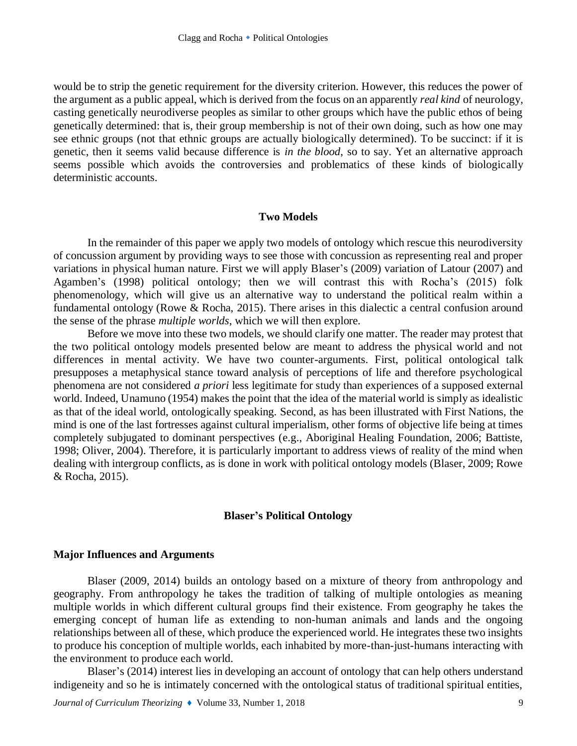would be to strip the genetic requirement for the diversity criterion. However, this reduces the power of the argument as a public appeal, which is derived from the focus on an apparently *real kind* of neurology, casting genetically neurodiverse peoples as similar to other groups which have the public ethos of being genetically determined: that is, their group membership is not of their own doing, such as how one may see ethnic groups (not that ethnic groups are actually biologically determined). To be succinct: if it is genetic, then it seems valid because difference is *in the blood*, so to say. Yet an alternative approach seems possible which avoids the controversies and problematics of these kinds of biologically deterministic accounts.

#### **Two Models**

In the remainder of this paper we apply two models of ontology which rescue this neurodiversity of concussion argument by providing ways to see those with concussion as representing real and proper variations in physical human nature. First we will apply Blaser's (2009) variation of Latour (2007) and Agamben's (1998) political ontology; then we will contrast this with Rocha's (2015) folk phenomenology, which will give us an alternative way to understand the political realm within a fundamental ontology (Rowe & Rocha, 2015). There arises in this dialectic a central confusion around the sense of the phrase *multiple worlds*, which we will then explore.

Before we move into these two models, we should clarify one matter. The reader may protest that the two political ontology models presented below are meant to address the physical world and not differences in mental activity. We have two counter-arguments. First, political ontological talk presupposes a metaphysical stance toward analysis of perceptions of life and therefore psychological phenomena are not considered *a priori* less legitimate for study than experiences of a supposed external world. Indeed, Unamuno (1954) makes the point that the idea of the material world is simply as idealistic as that of the ideal world, ontologically speaking. Second, as has been illustrated with First Nations, the mind is one of the last fortresses against cultural imperialism, other forms of objective life being at times completely subjugated to dominant perspectives (e.g., Aboriginal Healing Foundation, 2006; Battiste, 1998; Oliver, 2004). Therefore, it is particularly important to address views of reality of the mind when dealing with intergroup conflicts, as is done in work with political ontology models (Blaser, 2009; Rowe & Rocha, 2015).

## **Blaser's Political Ontology**

#### **Major Influences and Arguments**

Blaser (2009, 2014) builds an ontology based on a mixture of theory from anthropology and geography. From anthropology he takes the tradition of talking of multiple ontologies as meaning multiple worlds in which different cultural groups find their existence. From geography he takes the emerging concept of human life as extending to non-human animals and lands and the ongoing relationships between all of these, which produce the experienced world. He integrates these two insights to produce his conception of multiple worlds, each inhabited by more-than-just-humans interacting with the environment to produce each world.

Blaser's (2014) interest lies in developing an account of ontology that can help others understand indigeneity and so he is intimately concerned with the ontological status of traditional spiritual entities,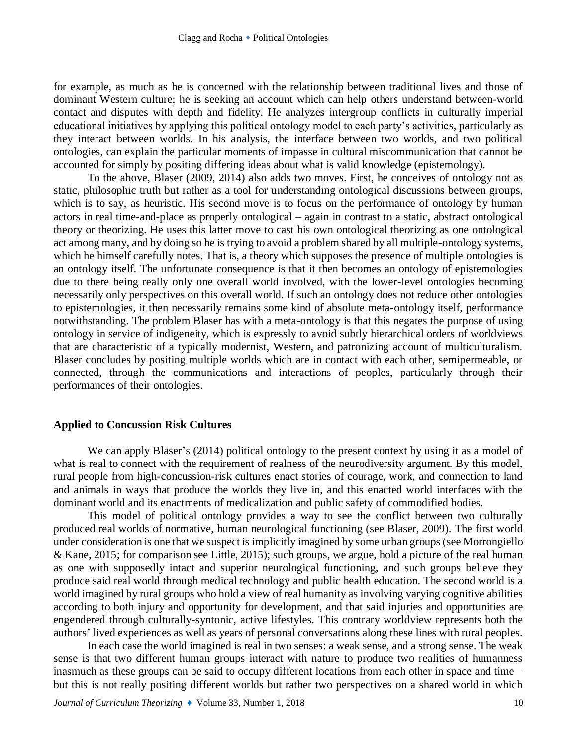for example, as much as he is concerned with the relationship between traditional lives and those of dominant Western culture; he is seeking an account which can help others understand between-world contact and disputes with depth and fidelity. He analyzes intergroup conflicts in culturally imperial educational initiatives by applying this political ontology model to each party's activities, particularly as they interact between worlds. In his analysis, the interface between two worlds, and two political ontologies, can explain the particular moments of impasse in cultural miscommunication that cannot be accounted for simply by positing differing ideas about what is valid knowledge (epistemology).

To the above, Blaser (2009, 2014) also adds two moves. First, he conceives of ontology not as static, philosophic truth but rather as a tool for understanding ontological discussions between groups, which is to say, as heuristic. His second move is to focus on the performance of ontology by human actors in real time-and-place as properly ontological – again in contrast to a static, abstract ontological theory or theorizing. He uses this latter move to cast his own ontological theorizing as one ontological act among many, and by doing so he is trying to avoid a problem shared by all multiple-ontology systems, which he himself carefully notes. That is, a theory which supposes the presence of multiple ontologies is an ontology itself. The unfortunate consequence is that it then becomes an ontology of epistemologies due to there being really only one overall world involved, with the lower-level ontologies becoming necessarily only perspectives on this overall world. If such an ontology does not reduce other ontologies to epistemologies, it then necessarily remains some kind of absolute meta-ontology itself, performance notwithstanding. The problem Blaser has with a meta-ontology is that this negates the purpose of using ontology in service of indigeneity, which is expressly to avoid subtly hierarchical orders of worldviews that are characteristic of a typically modernist, Western, and patronizing account of multiculturalism. Blaser concludes by positing multiple worlds which are in contact with each other, semipermeable, or connected, through the communications and interactions of peoples, particularly through their performances of their ontologies.

#### **Applied to Concussion Risk Cultures**

We can apply Blaser's (2014) political ontology to the present context by using it as a model of what is real to connect with the requirement of realness of the neurodiversity argument. By this model, rural people from high-concussion-risk cultures enact stories of courage, work, and connection to land and animals in ways that produce the worlds they live in, and this enacted world interfaces with the dominant world and its enactments of medicalization and public safety of commodified bodies.

This model of political ontology provides a way to see the conflict between two culturally produced real worlds of normative, human neurological functioning (see Blaser, 2009). The first world under consideration is one that we suspect is implicitly imagined by some urban groups (see Morrongiello & Kane, 2015; for comparison see Little, 2015); such groups, we argue, hold a picture of the real human as one with supposedly intact and superior neurological functioning, and such groups believe they produce said real world through medical technology and public health education. The second world is a world imagined by rural groups who hold a view of real humanity as involving varying cognitive abilities according to both injury and opportunity for development, and that said injuries and opportunities are engendered through culturally-syntonic, active lifestyles. This contrary worldview represents both the authors' lived experiences as well as years of personal conversations along these lines with rural peoples.

In each case the world imagined is real in two senses: a weak sense, and a strong sense. The weak sense is that two different human groups interact with nature to produce two realities of humanness inasmuch as these groups can be said to occupy different locations from each other in space and time – but this is not really positing different worlds but rather two perspectives on a shared world in which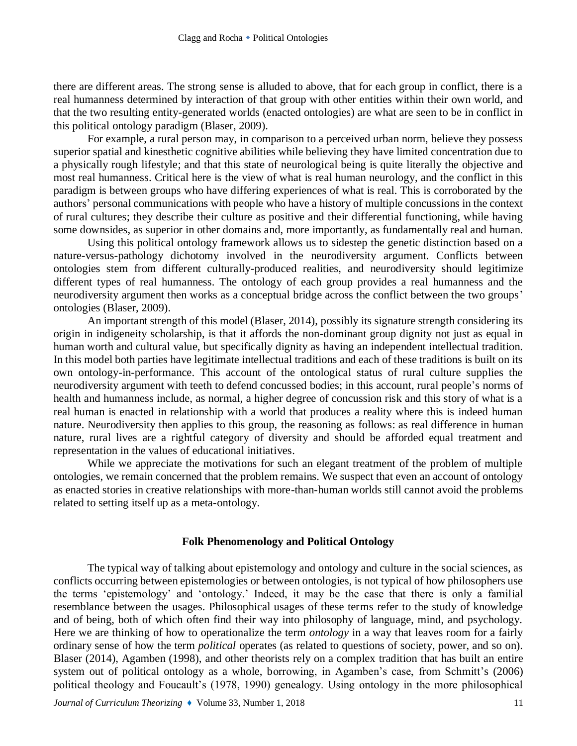there are different areas. The strong sense is alluded to above, that for each group in conflict, there is a real humanness determined by interaction of that group with other entities within their own world, and that the two resulting entity-generated worlds (enacted ontologies) are what are seen to be in conflict in this political ontology paradigm (Blaser, 2009).

For example, a rural person may, in comparison to a perceived urban norm, believe they possess superior spatial and kinesthetic cognitive abilities while believing they have limited concentration due to a physically rough lifestyle; and that this state of neurological being is quite literally the objective and most real humanness. Critical here is the view of what is real human neurology, and the conflict in this paradigm is between groups who have differing experiences of what is real. This is corroborated by the authors' personal communications with people who have a history of multiple concussions in the context of rural cultures; they describe their culture as positive and their differential functioning, while having some downsides, as superior in other domains and, more importantly, as fundamentally real and human.

Using this political ontology framework allows us to sidestep the genetic distinction based on a nature-versus-pathology dichotomy involved in the neurodiversity argument. Conflicts between ontologies stem from different culturally-produced realities, and neurodiversity should legitimize different types of real humanness. The ontology of each group provides a real humanness and the neurodiversity argument then works as a conceptual bridge across the conflict between the two groups' ontologies (Blaser, 2009).

An important strength of this model (Blaser, 2014), possibly its signature strength considering its origin in indigeneity scholarship, is that it affords the non-dominant group dignity not just as equal in human worth and cultural value, but specifically dignity as having an independent intellectual tradition. In this model both parties have legitimate intellectual traditions and each of these traditions is built on its own ontology-in-performance. This account of the ontological status of rural culture supplies the neurodiversity argument with teeth to defend concussed bodies; in this account, rural people's norms of health and humanness include, as normal, a higher degree of concussion risk and this story of what is a real human is enacted in relationship with a world that produces a reality where this is indeed human nature. Neurodiversity then applies to this group, the reasoning as follows: as real difference in human nature, rural lives are a rightful category of diversity and should be afforded equal treatment and representation in the values of educational initiatives.

While we appreciate the motivations for such an elegant treatment of the problem of multiple ontologies, we remain concerned that the problem remains. We suspect that even an account of ontology as enacted stories in creative relationships with more-than-human worlds still cannot avoid the problems related to setting itself up as a meta-ontology.

## **Folk Phenomenology and Political Ontology**

The typical way of talking about epistemology and ontology and culture in the social sciences, as conflicts occurring between epistemologies or between ontologies, is not typical of how philosophers use the terms 'epistemology' and 'ontology.' Indeed, it may be the case that there is only a familial resemblance between the usages. Philosophical usages of these terms refer to the study of knowledge and of being, both of which often find their way into philosophy of language, mind, and psychology. Here we are thinking of how to operationalize the term *ontology* in a way that leaves room for a fairly ordinary sense of how the term *political* operates (as related to questions of society, power, and so on). Blaser (2014), Agamben (1998), and other theorists rely on a complex tradition that has built an entire system out of political ontology as a whole, borrowing, in Agamben's case, from Schmitt's (2006) political theology and Foucault's (1978, 1990) genealogy. Using ontology in the more philosophical

*Journal of Curriculum Theorizing*  $\bullet$  Volume 33, Number 1, 2018 11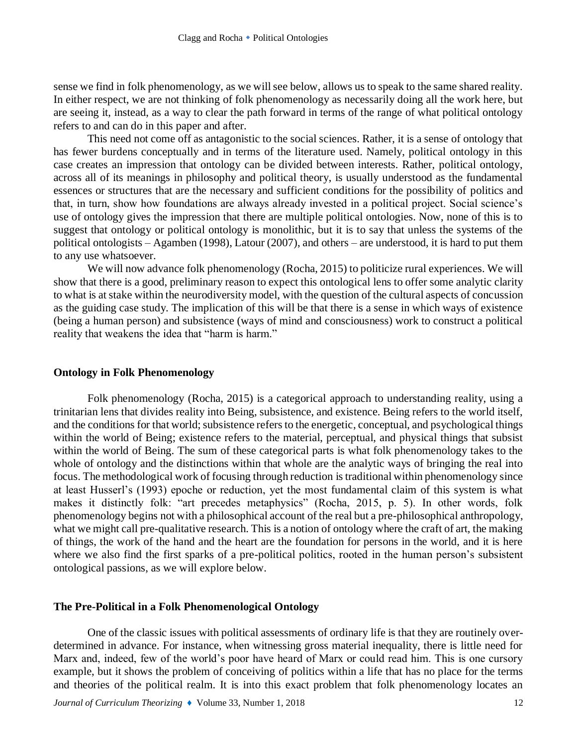sense we find in folk phenomenology, as we will see below, allows us to speak to the same shared reality. In either respect, we are not thinking of folk phenomenology as necessarily doing all the work here, but are seeing it, instead, as a way to clear the path forward in terms of the range of what political ontology refers to and can do in this paper and after.

This need not come off as antagonistic to the social sciences. Rather, it is a sense of ontology that has fewer burdens conceptually and in terms of the literature used. Namely, political ontology in this case creates an impression that ontology can be divided between interests. Rather, political ontology, across all of its meanings in philosophy and political theory, is usually understood as the fundamental essences or structures that are the necessary and sufficient conditions for the possibility of politics and that, in turn, show how foundations are always already invested in a political project. Social science's use of ontology gives the impression that there are multiple political ontologies. Now, none of this is to suggest that ontology or political ontology is monolithic, but it is to say that unless the systems of the political ontologists – Agamben (1998), Latour (2007), and others – are understood, it is hard to put them to any use whatsoever.

We will now advance folk phenomenology (Rocha, 2015) to politicize rural experiences. We will show that there is a good, preliminary reason to expect this ontological lens to offer some analytic clarity to what is at stake within the neurodiversity model, with the question of the cultural aspects of concussion as the guiding case study. The implication of this will be that there is a sense in which ways of existence (being a human person) and subsistence (ways of mind and consciousness) work to construct a political reality that weakens the idea that "harm is harm."

## **Ontology in Folk Phenomenology**

Folk phenomenology (Rocha, 2015) is a categorical approach to understanding reality, using a trinitarian lens that divides reality into Being, subsistence, and existence. Being refers to the world itself, and the conditions for that world; subsistence refers to the energetic, conceptual, and psychological things within the world of Being; existence refers to the material, perceptual, and physical things that subsist within the world of Being. The sum of these categorical parts is what folk phenomenology takes to the whole of ontology and the distinctions within that whole are the analytic ways of bringing the real into focus. The methodological work of focusing through reduction is traditional within phenomenology since at least Husserl's (1993) epoche or reduction, yet the most fundamental claim of this system is what makes it distinctly folk: "art precedes metaphysics" (Rocha, 2015, p. 5). In other words, folk phenomenology begins not with a philosophical account of the real but a pre-philosophical anthropology, what we might call pre-qualitative research. This is a notion of ontology where the craft of art, the making of things, the work of the hand and the heart are the foundation for persons in the world, and it is here where we also find the first sparks of a pre-political politics, rooted in the human person's subsistent ontological passions, as we will explore below.

#### **The Pre-Political in a Folk Phenomenological Ontology**

One of the classic issues with political assessments of ordinary life is that they are routinely overdetermined in advance. For instance, when witnessing gross material inequality, there is little need for Marx and, indeed, few of the world's poor have heard of Marx or could read him. This is one cursory example, but it shows the problem of conceiving of politics within a life that has no place for the terms and theories of the political realm. It is into this exact problem that folk phenomenology locates an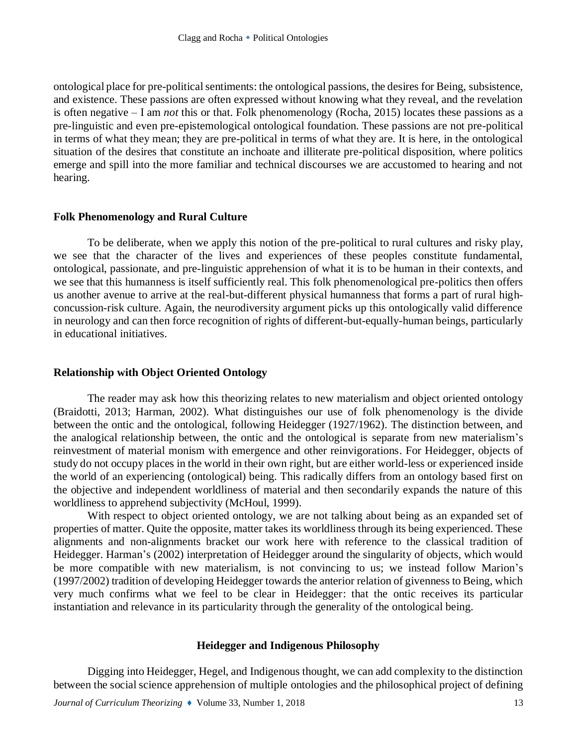ontological place for pre-political sentiments: the ontological passions, the desires for Being, subsistence, and existence. These passions are often expressed without knowing what they reveal, and the revelation is often negative – I am *not* this or that. Folk phenomenology (Rocha, 2015) locates these passions as a pre-linguistic and even pre-epistemological ontological foundation. These passions are not pre-political in terms of what they mean; they are pre-political in terms of what they are. It is here, in the ontological situation of the desires that constitute an inchoate and illiterate pre-political disposition, where politics emerge and spill into the more familiar and technical discourses we are accustomed to hearing and not hearing.

## **Folk Phenomenology and Rural Culture**

To be deliberate, when we apply this notion of the pre-political to rural cultures and risky play, we see that the character of the lives and experiences of these peoples constitute fundamental, ontological, passionate, and pre-linguistic apprehension of what it is to be human in their contexts, and we see that this humanness is itself sufficiently real. This folk phenomenological pre-politics then offers us another avenue to arrive at the real-but-different physical humanness that forms a part of rural highconcussion-risk culture. Again, the neurodiversity argument picks up this ontologically valid difference in neurology and can then force recognition of rights of different-but-equally-human beings, particularly in educational initiatives.

# **Relationship with Object Oriented Ontology**

The reader may ask how this theorizing relates to new materialism and object oriented ontology (Braidotti, 2013; Harman, 2002). What distinguishes our use of folk phenomenology is the divide between the ontic and the ontological, following Heidegger (1927/1962). The distinction between, and the analogical relationship between, the ontic and the ontological is separate from new materialism's reinvestment of material monism with emergence and other reinvigorations. For Heidegger, objects of study do not occupy places in the world in their own right, but are either world-less or experienced inside the world of an experiencing (ontological) being. This radically differs from an ontology based first on the objective and independent worldliness of material and then secondarily expands the nature of this worldliness to apprehend subjectivity (McHoul, 1999).

With respect to object oriented ontology, we are not talking about being as an expanded set of properties of matter. Quite the opposite, matter takes its worldliness through its being experienced. These alignments and non-alignments bracket our work here with reference to the classical tradition of Heidegger. Harman's (2002) interpretation of Heidegger around the singularity of objects, which would be more compatible with new materialism, is not convincing to us; we instead follow Marion's (1997/2002) tradition of developing Heidegger towards the anterior relation of givenness to Being, which very much confirms what we feel to be clear in Heidegger: that the ontic receives its particular instantiation and relevance in its particularity through the generality of the ontological being.

# **Heidegger and Indigenous Philosophy**

Digging into Heidegger, Hegel, and Indigenous thought, we can add complexity to the distinction between the social science apprehension of multiple ontologies and the philosophical project of defining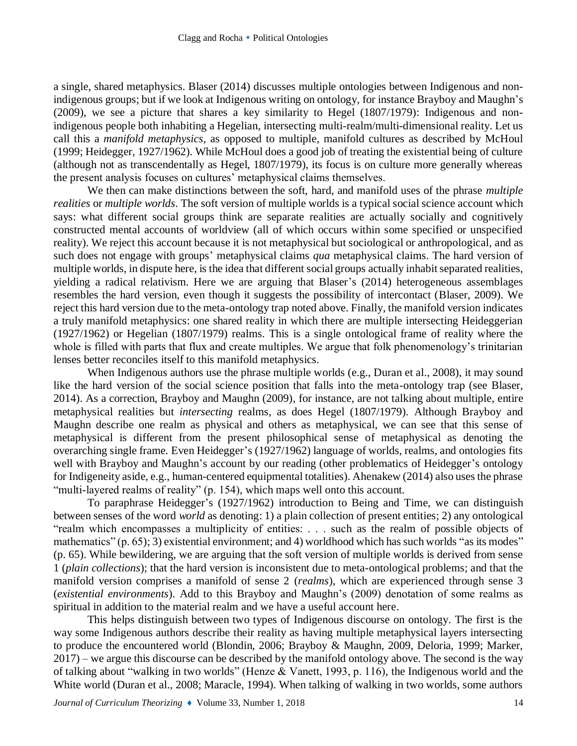a single, shared metaphysics. Blaser (2014) discusses multiple ontologies between Indigenous and nonindigenous groups; but if we look at Indigenous writing on ontology, for instance Brayboy and Maughn's (2009), we see a picture that shares a key similarity to Hegel (1807/1979): Indigenous and nonindigenous people both inhabiting a Hegelian, intersecting multi-realm/multi-dimensional reality. Let us call this a *manifold metaphysics*, as opposed to multiple, manifold cultures as described by McHoul (1999; Heidegger, 1927/1962). While McHoul does a good job of treating the existential being of culture (although not as transcendentally as Hegel, 1807/1979), its focus is on culture more generally whereas the present analysis focuses on cultures' metaphysical claims themselves.

We then can make distinctions between the soft, hard, and manifold uses of the phrase *multiple realities* or *multiple worlds*. The soft version of multiple worlds is a typical social science account which says: what different social groups think are separate realities are actually socially and cognitively constructed mental accounts of worldview (all of which occurs within some specified or unspecified reality). We reject this account because it is not metaphysical but sociological or anthropological, and as such does not engage with groups' metaphysical claims *qua* metaphysical claims. The hard version of multiple worlds, in dispute here, is the idea that different social groups actually inhabit separated realities, yielding a radical relativism. Here we are arguing that Blaser's (2014) heterogeneous assemblages resembles the hard version, even though it suggests the possibility of intercontact (Blaser, 2009). We reject this hard version due to the meta-ontology trap noted above. Finally, the manifold version indicates a truly manifold metaphysics: one shared reality in which there are multiple intersecting Heideggerian (1927/1962) or Hegelian (1807/1979) realms. This is a single ontological frame of reality where the whole is filled with parts that flux and create multiples. We argue that folk phenomenology's trinitarian lenses better reconciles itself to this manifold metaphysics.

When Indigenous authors use the phrase multiple worlds (e.g., Duran et al., 2008), it may sound like the hard version of the social science position that falls into the meta-ontology trap (see Blaser, 2014). As a correction, Brayboy and Maughn (2009), for instance, are not talking about multiple, entire metaphysical realities but *intersecting* realms, as does Hegel (1807/1979). Although Brayboy and Maughn describe one realm as physical and others as metaphysical, we can see that this sense of metaphysical is different from the present philosophical sense of metaphysical as denoting the overarching single frame. Even Heidegger's (1927/1962) language of worlds, realms, and ontologies fits well with Brayboy and Maughn's account by our reading (other problematics of Heidegger's ontology for Indigeneity aside, e.g., human-centered equipmental totalities). Ahenakew (2014) also uses the phrase "multi-layered realms of reality" (p. 154), which maps well onto this account.

To paraphrase Heidegger's (1927/1962) introduction to Being and Time, we can distinguish between senses of the word *world* as denoting: 1) a plain collection of present entities; 2) any ontological "realm which encompasses a multiplicity of entities: . . . such as the realm of possible objects of mathematics" (p. 65); 3) existential environment; and 4) worldhood which has such worlds "as its modes" (p. 65). While bewildering, we are arguing that the soft version of multiple worlds is derived from sense 1 (*plain collections*); that the hard version is inconsistent due to meta-ontological problems; and that the manifold version comprises a manifold of sense 2 (*realms*), which are experienced through sense 3 (*existential environments*). Add to this Brayboy and Maughn's (2009) denotation of some realms as spiritual in addition to the material realm and we have a useful account here.

This helps distinguish between two types of Indigenous discourse on ontology. The first is the way some Indigenous authors describe their reality as having multiple metaphysical layers intersecting to produce the encountered world (Blondin, 2006; Brayboy & Maughn, 2009, Deloria, 1999; Marker, 2017) – we argue this discourse can be described by the manifold ontology above. The second is the way of talking about "walking in two worlds" (Henze & Vanett, 1993, p. 116), the Indigenous world and the White world (Duran et al., 2008; Maracle, 1994). When talking of walking in two worlds, some authors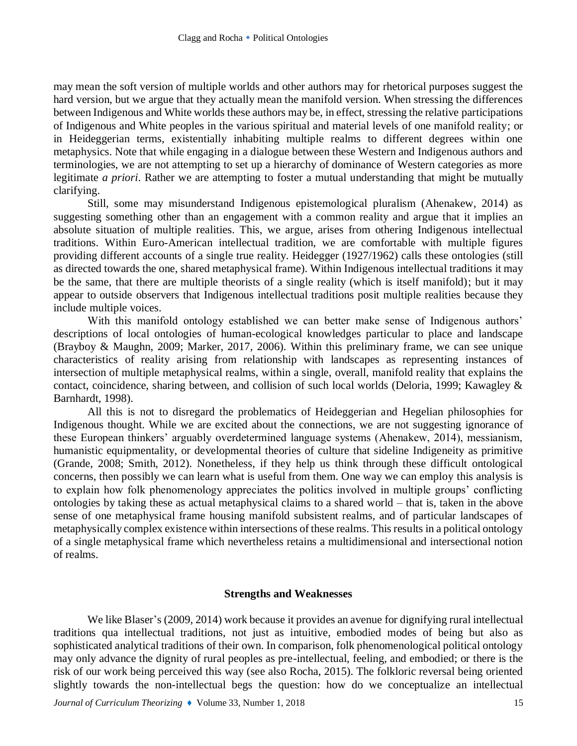may mean the soft version of multiple worlds and other authors may for rhetorical purposes suggest the hard version, but we argue that they actually mean the manifold version. When stressing the differences between Indigenous and White worlds these authors may be, in effect, stressing the relative participations of Indigenous and White peoples in the various spiritual and material levels of one manifold reality; or in Heideggerian terms, existentially inhabiting multiple realms to different degrees within one metaphysics. Note that while engaging in a dialogue between these Western and Indigenous authors and terminologies, we are not attempting to set up a hierarchy of dominance of Western categories as more legitimate *a priori*. Rather we are attempting to foster a mutual understanding that might be mutually clarifying.

Still, some may misunderstand Indigenous epistemological pluralism (Ahenakew, 2014) as suggesting something other than an engagement with a common reality and argue that it implies an absolute situation of multiple realities. This, we argue, arises from othering Indigenous intellectual traditions. Within Euro-American intellectual tradition, we are comfortable with multiple figures providing different accounts of a single true reality. Heidegger (1927/1962) calls these ontologies (still as directed towards the one, shared metaphysical frame). Within Indigenous intellectual traditions it may be the same, that there are multiple theorists of a single reality (which is itself manifold); but it may appear to outside observers that Indigenous intellectual traditions posit multiple realities because they include multiple voices.

With this manifold ontology established we can better make sense of Indigenous authors' descriptions of local ontologies of human-ecological knowledges particular to place and landscape (Brayboy & Maughn, 2009; Marker, 2017, 2006). Within this preliminary frame, we can see unique characteristics of reality arising from relationship with landscapes as representing instances of intersection of multiple metaphysical realms, within a single, overall, manifold reality that explains the contact, coincidence, sharing between, and collision of such local worlds (Deloria, 1999; Kawagley & Barnhardt, 1998).

All this is not to disregard the problematics of Heideggerian and Hegelian philosophies for Indigenous thought. While we are excited about the connections, we are not suggesting ignorance of these European thinkers' arguably overdetermined language systems (Ahenakew, 2014), messianism, humanistic equipmentality, or developmental theories of culture that sideline Indigeneity as primitive (Grande, 2008; Smith, 2012). Nonetheless, if they help us think through these difficult ontological concerns, then possibly we can learn what is useful from them. One way we can employ this analysis is to explain how folk phenomenology appreciates the politics involved in multiple groups' conflicting ontologies by taking these as actual metaphysical claims to a shared world – that is, taken in the above sense of one metaphysical frame housing manifold subsistent realms, and of particular landscapes of metaphysically complex existence within intersections of these realms. This results in a political ontology of a single metaphysical frame which nevertheless retains a multidimensional and intersectional notion of realms.

## **Strengths and Weaknesses**

We like Blaser's (2009, 2014) work because it provides an avenue for dignifying rural intellectual traditions qua intellectual traditions, not just as intuitive, embodied modes of being but also as sophisticated analytical traditions of their own. In comparison, folk phenomenological political ontology may only advance the dignity of rural peoples as pre-intellectual, feeling, and embodied; or there is the risk of our work being perceived this way (see also Rocha, 2015). The folkloric reversal being oriented slightly towards the non-intellectual begs the question: how do we conceptualize an intellectual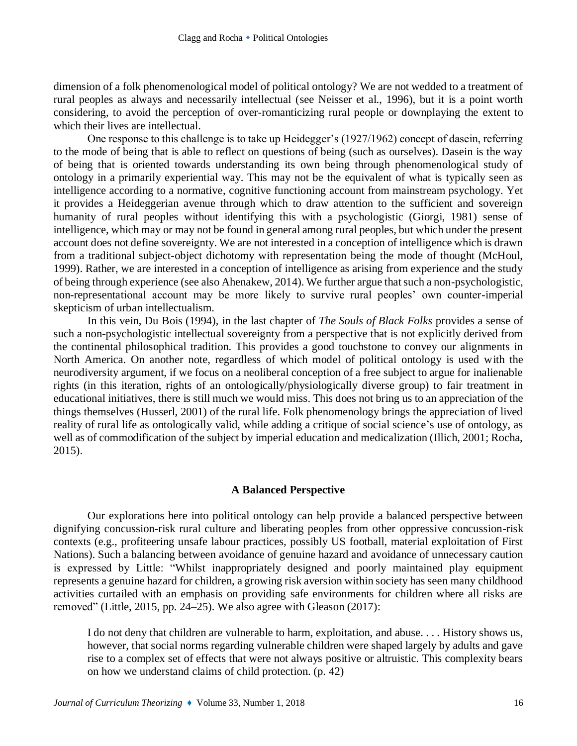dimension of a folk phenomenological model of political ontology? We are not wedded to a treatment of rural peoples as always and necessarily intellectual (see Neisser et al., 1996), but it is a point worth considering, to avoid the perception of over-romanticizing rural people or downplaying the extent to which their lives are intellectual.

One response to this challenge is to take up Heidegger's (1927/1962) concept of dasein, referring to the mode of being that is able to reflect on questions of being (such as ourselves). Dasein is the way of being that is oriented towards understanding its own being through phenomenological study of ontology in a primarily experiential way. This may not be the equivalent of what is typically seen as intelligence according to a normative, cognitive functioning account from mainstream psychology. Yet it provides a Heideggerian avenue through which to draw attention to the sufficient and sovereign humanity of rural peoples without identifying this with a psychologistic (Giorgi, 1981) sense of intelligence, which may or may not be found in general among rural peoples, but which under the present account does not define sovereignty. We are not interested in a conception of intelligence which is drawn from a traditional subject-object dichotomy with representation being the mode of thought (McHoul, 1999). Rather, we are interested in a conception of intelligence as arising from experience and the study of being through experience (see also Ahenakew, 2014). We further argue that such a non-psychologistic, non-representational account may be more likely to survive rural peoples' own counter-imperial skepticism of urban intellectualism.

In this vein, Du Bois (1994), in the last chapter of *The Souls of Black Folks* provides a sense of such a non-psychologistic intellectual sovereignty from a perspective that is not explicitly derived from the continental philosophical tradition. This provides a good touchstone to convey our alignments in North America. On another note, regardless of which model of political ontology is used with the neurodiversity argument, if we focus on a neoliberal conception of a free subject to argue for inalienable rights (in this iteration, rights of an ontologically/physiologically diverse group) to fair treatment in educational initiatives, there is still much we would miss. This does not bring us to an appreciation of the things themselves (Husserl, 2001) of the rural life. Folk phenomenology brings the appreciation of lived reality of rural life as ontologically valid, while adding a critique of social science's use of ontology, as well as of commodification of the subject by imperial education and medicalization (Illich, 2001; Rocha, 2015).

# **A Balanced Perspective**

Our explorations here into political ontology can help provide a balanced perspective between dignifying concussion-risk rural culture and liberating peoples from other oppressive concussion-risk contexts (e.g., profiteering unsafe labour practices, possibly US football, material exploitation of First Nations). Such a balancing between avoidance of genuine hazard and avoidance of unnecessary caution is expressed by Little: "Whilst inappropriately designed and poorly maintained play equipment represents a genuine hazard for children, a growing risk aversion within society has seen many childhood activities curtailed with an emphasis on providing safe environments for children where all risks are removed" (Little, 2015, pp. 24–25). We also agree with Gleason (2017):

I do not deny that children are vulnerable to harm, exploitation, and abuse. . . . History shows us, however, that social norms regarding vulnerable children were shaped largely by adults and gave rise to a complex set of effects that were not always positive or altruistic. This complexity bears on how we understand claims of child protection. (p. 42)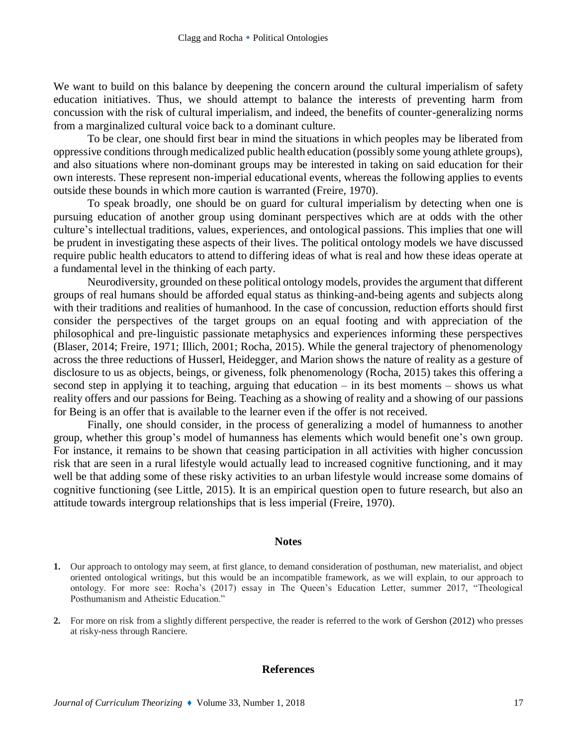We want to build on this balance by deepening the concern around the cultural imperialism of safety education initiatives. Thus, we should attempt to balance the interests of preventing harm from concussion with the risk of cultural imperialism, and indeed, the benefits of counter-generalizing norms from a marginalized cultural voice back to a dominant culture.

To be clear, one should first bear in mind the situations in which peoples may be liberated from oppressive conditions through medicalized public health education (possibly some young athlete groups), and also situations where non-dominant groups may be interested in taking on said education for their own interests. These represent non-imperial educational events, whereas the following applies to events outside these bounds in which more caution is warranted (Freire, 1970).

To speak broadly, one should be on guard for cultural imperialism by detecting when one is pursuing education of another group using dominant perspectives which are at odds with the other culture's intellectual traditions, values, experiences, and ontological passions. This implies that one will be prudent in investigating these aspects of their lives. The political ontology models we have discussed require public health educators to attend to differing ideas of what is real and how these ideas operate at a fundamental level in the thinking of each party.

Neurodiversity, grounded on these political ontology models, provides the argument that different groups of real humans should be afforded equal status as thinking-and-being agents and subjects along with their traditions and realities of humanhood. In the case of concussion, reduction efforts should first consider the perspectives of the target groups on an equal footing and with appreciation of the philosophical and pre-linguistic passionate metaphysics and experiences informing these perspectives (Blaser, 2014; Freire, 1971; Illich, 2001; Rocha, 2015). While the general trajectory of phenomenology across the three reductions of Husserl, Heidegger, and Marion shows the nature of reality as a gesture of disclosure to us as objects, beings, or giveness, folk phenomenology (Rocha, 2015) takes this offering a second step in applying it to teaching, arguing that education  $-$  in its best moments  $-$  shows us what reality offers and our passions for Being. Teaching as a showing of reality and a showing of our passions for Being is an offer that is available to the learner even if the offer is not received.

Finally, one should consider, in the process of generalizing a model of humanness to another group, whether this group's model of humanness has elements which would benefit one's own group. For instance, it remains to be shown that ceasing participation in all activities with higher concussion risk that are seen in a rural lifestyle would actually lead to increased cognitive functioning, and it may well be that adding some of these risky activities to an urban lifestyle would increase some domains of cognitive functioning (see Little, 2015). It is an empirical question open to future research, but also an attitude towards intergroup relationships that is less imperial (Freire, 1970).

#### **Notes**

**2.** For more on risk from a slightly different perspective, the reader is referred to the work of Gershon (2012) who presses at risky-ness through Ranciere.

#### **References**

**<sup>1.</sup>** Our approach to ontology may seem, at first glance, to demand consideration of posthuman, new materialist, and object oriented ontological writings, but this would be an incompatible framework, as we will explain, to our approach to ontology. For more see: Rocha's (2017) essay in The Queen's Education Letter, summer 2017, "Theological Posthumanism and Atheistic Education."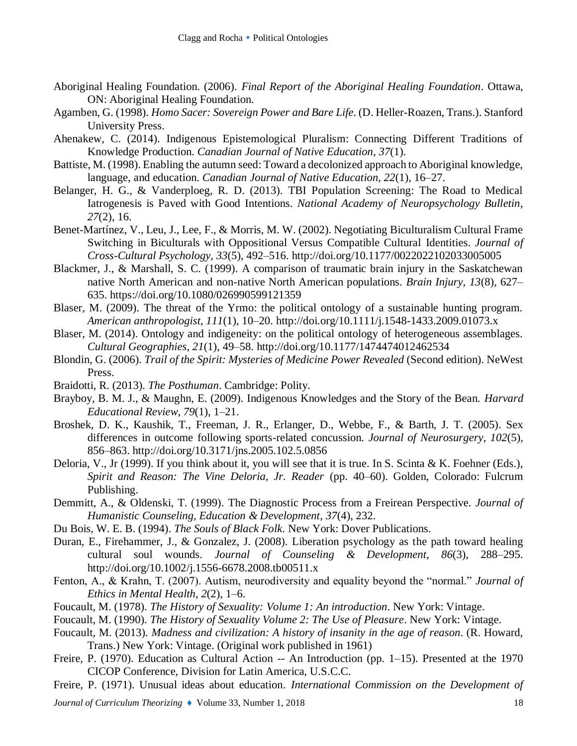- Aboriginal Healing Foundation. (2006). *Final Report of the Aboriginal Healing Foundation*. Ottawa, ON: Aboriginal Healing Foundation.
- Agamben, G. (1998). *Homo Sacer: Sovereign Power and Bare Life*. (D. Heller-Roazen, Trans.). Stanford University Press.
- Ahenakew, C. (2014). Indigenous Epistemological Pluralism: Connecting Different Traditions of Knowledge Production. *Canadian Journal of Native Education*, *37*(1).
- Battiste, M. (1998). Enabling the autumn seed: Toward a decolonized approach to Aboriginal knowledge, language, and education. *Canadian Journal of Native Education, 22*(1), 16–27.
- Belanger, H. G., & Vanderploeg, R. D. (2013). TBI Population Screening: The Road to Medical Iatrogenesis is Paved with Good Intentions. *National Academy of Neuropsychology Bulletin*, *27*(2), 16.
- Benet-Martínez, V., Leu, J., Lee, F., & Morris, M. W. (2002). Negotiating Biculturalism Cultural Frame Switching in Biculturals with Oppositional Versus Compatible Cultural Identities. *Journal of Cross-Cultural Psychology*, *33*(5), 492–516. http://doi.org/10.1177/0022022102033005005
- Blackmer, J., & Marshall, S. C. (1999). A comparison of traumatic brain injury in the Saskatchewan native North American and non-native North American populations. *Brain Injury, 13*(8), 627– 635. https://doi.org/10.1080/026990599121359
- Blaser, M. (2009). The threat of the Yrmo: the political ontology of a sustainable hunting program. *American anthropologist*, *111*(1), 10–20. http://doi.org/10.1111/j.1548-1433.2009.01073.x
- Blaser, M. (2014). Ontology and indigeneity: on the political ontology of heterogeneous assemblages. *Cultural Geographies*, *21*(1), 49–58. http://doi.org/10.1177/1474474012462534
- Blondin, G. (2006). *Trail of the Spirit: Mysteries of Medicine Power Revealed* (Second edition). NeWest Press.
- Braidotti, R. (2013). *The Posthuman*. Cambridge: Polity.
- Brayboy, B. M. J., & Maughn, E. (2009). Indigenous Knowledges and the Story of the Bean. *Harvard Educational Review*, *79*(1), 1–21.
- Broshek, D. K., Kaushik, T., Freeman, J. R., Erlanger, D., Webbe, F., & Barth, J. T. (2005). Sex differences in outcome following sports-related concussion. *Journal of Neurosurgery*, *102*(5), 856–863. http://doi.org/10.3171/jns.2005.102.5.0856
- Deloria, V., Jr (1999). If you think about it, you will see that it is true. In S. Scinta & K. Foehner (Eds.), *Spirit and Reason: The Vine Deloria, Jr. Reader* (pp. 40–60). Golden, Colorado: Fulcrum Publishing.
- Demmitt, A., & Oldenski, T. (1999). The Diagnostic Process from a Freirean Perspective. *Journal of Humanistic Counseling, Education & Development*, *37*(4), 232.
- Du Bois, W. E. B. (1994). *The Souls of Black Folk*. New York: Dover Publications.
- Duran, E., Firehammer, J., & Gonzalez, J. (2008). Liberation psychology as the path toward healing cultural soul wounds. *Journal of Counseling & Development*, *86*(3), 288–295. http://doi.org/10.1002/j.1556-6678.2008.tb00511.x
- Fenton, A., & Krahn, T. (2007). Autism, neurodiversity and equality beyond the "normal." *Journal of Ethics in Mental Health*, *2*(2), 1–6.
- Foucault, M. (1978). *The History of Sexuality: Volume 1: An introduction*. New York: Vintage.
- Foucault, M. (1990). *The History of Sexuality Volume 2: The Use of Pleasure*. New York: Vintage.
- Foucault, M. (2013). *Madness and civilization: A history of insanity in the age of reason*. (R. Howard, Trans.) New York: Vintage. (Original work published in 1961)
- Freire, P. (1970). Education as Cultural Action -- An Introduction (pp. 1–15). Presented at the 1970 CICOP Conference, Division for Latin America, U.S.C.C.
- Freire, P. (1971). Unusual ideas about education. *International Commission on the Development of*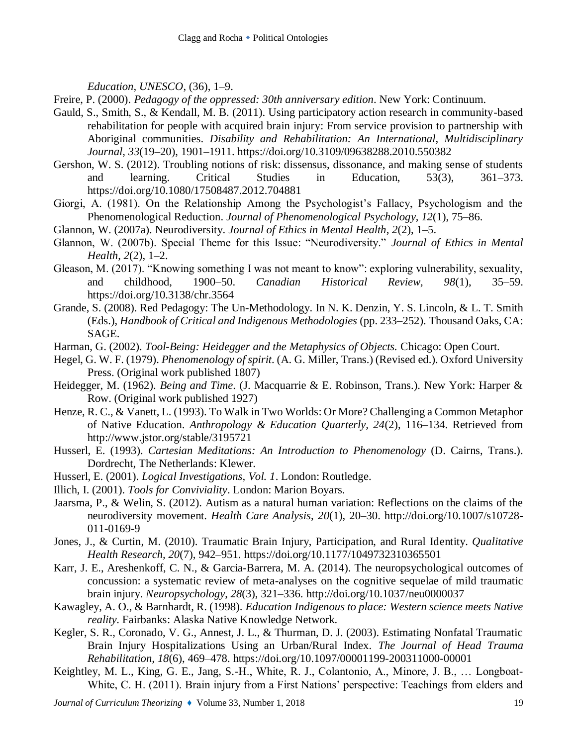*Education, UNESCO*, (36), 1–9.

Freire, P. (2000). *Pedagogy of the oppressed: 30th anniversary edition*. New York: Continuum.

- Gauld, S., Smith, S., & Kendall, M. B. (2011). Using participatory action research in community-based rehabilitation for people with acquired brain injury: From service provision to partnership with Aboriginal communities. *Disability and Rehabilitation: An International, Multidisciplinary Journal, 33*(19–20), 1901–1911. https://doi.org/10.3109/09638288.2010.550382
- Gershon, W. S. (2012). Troubling notions of risk: dissensus, dissonance, and making sense of students and learning. Critical Studies in Education, 53(3), 361–373. https://doi.org/10.1080/17508487.2012.704881
- Giorgi, A. (1981). On the Relationship Among the Psychologist's Fallacy, Psychologism and the Phenomenological Reduction. *Journal of Phenomenological Psychology, 12*(1), 75–86.
- Glannon, W. (2007a). Neurodiversity. *Journal of Ethics in Mental Health*, *2*(2), 1–5.
- Glannon, W. (2007b). Special Theme for this Issue: "Neurodiversity." *Journal of Ethics in Mental Health*, *2*(2), 1–2.
- Gleason, M. (2017). "Knowing something I was not meant to know": exploring vulnerability, sexuality, and childhood, 1900–50. *Canadian Historical Review, 98*(1), 35–59. https://doi.org/10.3138/chr.3564
- Grande, S. (2008). Red Pedagogy: The Un-Methodology. In N. K. Denzin, Y. S. Lincoln, & L. T. Smith (Eds.), *Handbook of Critical and Indigenous Methodologies* (pp. 233–252). Thousand Oaks, CA: SAGE.
- Harman, G. (2002). *Tool-Being: Heidegger and the Metaphysics of Objects.* Chicago: Open Court.
- Hegel, G. W. F. (1979). *Phenomenology of spirit*. (A. G. Miller, Trans.) (Revised ed.). Oxford University Press. (Original work published 1807)
- Heidegger, M. (1962). *Being and Time*. (J. Macquarrie & E. Robinson, Trans.). New York: Harper & Row. (Original work published 1927)
- Henze, R. C., & Vanett, L. (1993). To Walk in Two Worlds: Or More? Challenging a Common Metaphor of Native Education. *Anthropology & Education Quarterly, 24*(2), 116–134. Retrieved from http://www.jstor.org/stable/3195721
- Husserl, E. (1993). *Cartesian Meditations: An Introduction to Phenomenology* (D. Cairns, Trans.). Dordrecht, The Netherlands: Klewer.
- Husserl, E. (2001). *Logical Investigations, Vol. 1*. London: Routledge.
- Illich, I. (2001). *Tools for Conviviality*. London: Marion Boyars.
- Jaarsma, P., & Welin, S. (2012). Autism as a natural human variation: Reflections on the claims of the neurodiversity movement. *Health Care Analysis*, *20*(1), 20–30. http://doi.org/10.1007/s10728- 011-0169-9
- Jones, J., & Curtin, M. (2010). Traumatic Brain Injury, Participation, and Rural Identity. *Qualitative Health Research, 20*(7), 942–951. https://doi.org/10.1177/1049732310365501
- Karr, J. E., Areshenkoff, C. N., & Garcia-Barrera, M. A. (2014). The neuropsychological outcomes of concussion: a systematic review of meta-analyses on the cognitive sequelae of mild traumatic brain injury. *Neuropsychology*, *28*(3), 321–336. http://doi.org/10.1037/neu0000037
- Kawagley, A. O., & Barnhardt, R. (1998). *Education Indigenous to place: Western science meets Native reality*. Fairbanks: Alaska Native Knowledge Network.
- Kegler, S. R., Coronado, V. G., Annest, J. L., & Thurman, D. J. (2003). Estimating Nonfatal Traumatic Brain Injury Hospitalizations Using an Urban/Rural Index. *The Journal of Head Trauma Rehabilitation, 18*(6), 469–478. https://doi.org/10.1097/00001199-200311000-00001
- Keightley, M. L., King, G. E., Jang, S.-H., White, R. J., Colantonio, A., Minore, J. B., … Longboat-White, C. H. (2011). Brain injury from a First Nations' perspective: Teachings from elders and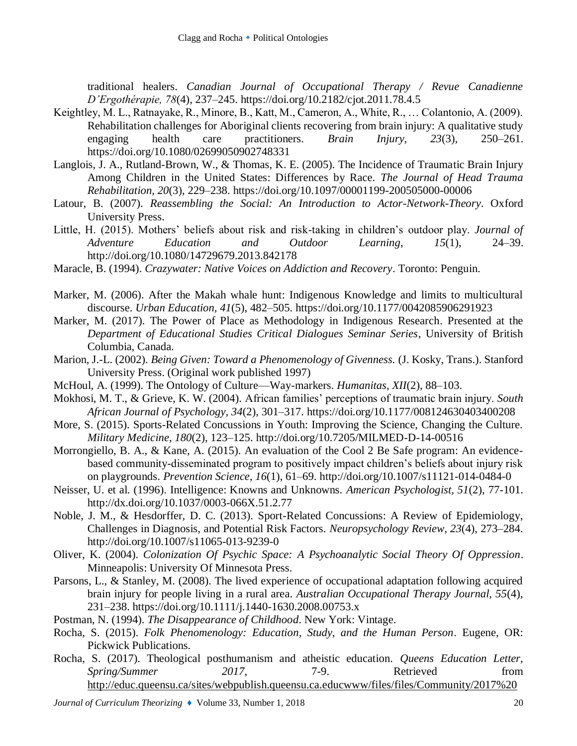traditional healers. *Canadian Journal of Occupational Therapy / Revue Canadienne D'Ergothérapie, 78*(4), 237–245. https://doi.org/10.2182/cjot.2011.78.4.5

- Keightley, M. L., Ratnayake, R., Minore, B., Katt, M., Cameron, A., White, R., … Colantonio, A. (2009). Rehabilitation challenges for Aboriginal clients recovering from brain injury: A qualitative study engaging health care practitioners. *Brain Injury, 23*(3), 250–261. https://doi.org/10.1080/02699050902748331
- Langlois, J. A., Rutland-Brown, W., & Thomas, K. E. (2005). The Incidence of Traumatic Brain Injury Among Children in the United States: Differences by Race. *The Journal of Head Trauma Rehabilitation, 20*(3), 229–238. https://doi.org/10.1097/00001199-200505000-00006
- Latour, B. (2007). *Reassembling the Social: An Introduction to Actor-Network-Theory*. Oxford University Press.
- Little, H. (2015). Mothers' beliefs about risk and risk-taking in children's outdoor play. *Journal of Adventure Education and Outdoor Learning*, *15*(1), 24–39. http://doi.org/10.1080/14729679.2013.842178
- Maracle, B. (1994). *Crazywater: Native Voices on Addiction and Recovery*. Toronto: Penguin.
- Marker, M. (2006). After the Makah whale hunt: Indigenous Knowledge and limits to multicultural discourse. *Urban Education, 41*(5), 482–505. https://doi.org/10.1177/0042085906291923
- Marker, M. (2017). The Power of Place as Methodology in Indigenous Research. Presented at the *Department of Educational Studies Critical Dialogues Seminar Series*, University of British Columbia, Canada.
- Marion, J.-L. (2002). *Being Given: Toward a Phenomenology of Givenness.* (J. Kosky, Trans.). Stanford University Press. (Original work published 1997)
- McHoul, A. (1999). The Ontology of Culture—Way-markers. *Humanitas, XII*(2), 88–103.
- Mokhosi, M. T., & Grieve, K. W. (2004). African families' perceptions of traumatic brain injury. *South African Journal of Psychology, 34*(2), 301–317. https://doi.org/10.1177/008124630403400208
- More, S. (2015). Sports-Related Concussions in Youth: Improving the Science, Changing the Culture. *Military Medicine*, *180*(2), 123–125. http://doi.org/10.7205/MILMED-D-14-00516
- Morrongiello, B. A., & Kane, A. (2015). An evaluation of the Cool 2 Be Safe program: An evidencebased community-disseminated program to positively impact children's beliefs about injury risk on playgrounds. *Prevention Science*, *16*(1), 61–69. http://doi.org/10.1007/s11121-014-0484-0
- Neisser, U. et al. (1996). Intelligence: Knowns and Unknowns. *American Psychologist, 51*(2), 77-101. http://dx.doi.org/10.1037/0003-066X.51.2.77
- Noble, J. M., & Hesdorffer, D. C. (2013). Sport-Related Concussions: A Review of Epidemiology, Challenges in Diagnosis, and Potential Risk Factors. *Neuropsychology Review*, *23*(4), 273–284. http://doi.org/10.1007/s11065-013-9239-0
- Oliver, K. (2004). *Colonization Of Psychic Space: A Psychoanalytic Social Theory Of Oppression*. Minneapolis: University Of Minnesota Press.
- Parsons, L., & Stanley, M. (2008). The lived experience of occupational adaptation following acquired brain injury for people living in a rural area. *Australian Occupational Therapy Journal, 55*(4), 231–238. https://doi.org/10.1111/j.1440-1630.2008.00753.x
- Postman, N. (1994). *The Disappearance of Childhood*. New York: Vintage.
- Rocha, S. (2015). *Folk Phenomenology: Education, Study, and the Human Person*. Eugene, OR: Pickwick Publications.
- Rocha, S. (2017). Theological posthumanism and atheistic education. *Queens Education Letter, Spring/Summer* 2017, 7-9. Retrieved from [http://educ.queensu.ca/sites/webpublish.queensu.ca.educwww/files/files/Community/2017%20](http://educ.queensu.ca/sites/webpublish.queensu.ca.educwww/files/files/Community/2017%20Spring%20Education%20Letter.pdf)